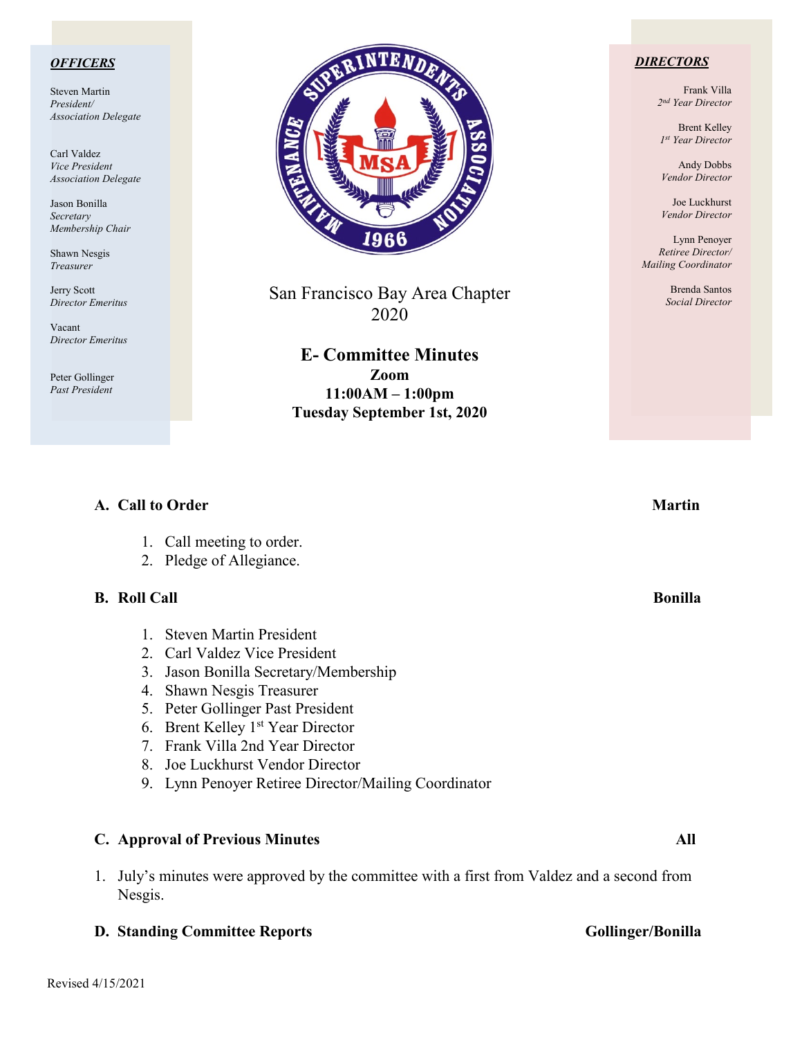### *OFFICERS*

Steven Martin *President/ Association Delegate*

Carl Valdez *Vice President Association Delegate*

Jason Bonilla *Secretary Membership Chair*

Shawn Nesgis *Treasurer*

Jerry Scott *Director Emeritus*

Vacant *Director Emeritus*

Peter Gollinger *Past President*



San Francisco Bay Area Chapter 2020

**E- Committee Minutes Zoom 11:00AM – 1:00pm Tuesday September 1st, 2020**

**A.** Call to Order Martin **Martin** 

### *DIRECTORS*

Frank Villa *2nd Year Director*

Brent Kelley *1st Year Director*

Andy Dobbs *Vendor Director*

Joe Luckhurst *Vendor Director*

Lynn Penoyer *Retiree Director/ Mailing Coordinator*

> Brenda Santos *Social Director*

| 1.<br>2.                                    | Call meeting to order.<br>Pledge of Allegiance.                                                                                                                                                                                                                                                                                           |                |
|---------------------------------------------|-------------------------------------------------------------------------------------------------------------------------------------------------------------------------------------------------------------------------------------------------------------------------------------------------------------------------------------------|----------------|
| <b>B. Roll Call</b>                         |                                                                                                                                                                                                                                                                                                                                           | <b>Bonilla</b> |
| 3.<br>4.<br>5.<br>6.<br>$7\phantom{0}$<br>8 | <b>Steven Martin President</b><br>2. Carl Valdez Vice President<br>Jason Bonilla Secretary/Membership<br>Shawn Nesgis Treasurer<br>Peter Gollinger Past President<br>Brent Kelley 1 <sup>st</sup> Year Director<br>Frank Villa 2nd Year Director<br>Joe Luckhurst Vendor Director<br>9. Lynn Penoyer Retiree Director/Mailing Coordinator |                |
|                                             | <b>C.</b> Approval of Previous Minutes                                                                                                                                                                                                                                                                                                    | All            |

1. July's minutes were approved by the committee with a first from Valdez and a second from Nesgis.

### **D. Standing Committee Reports Gollinger/Bonilla**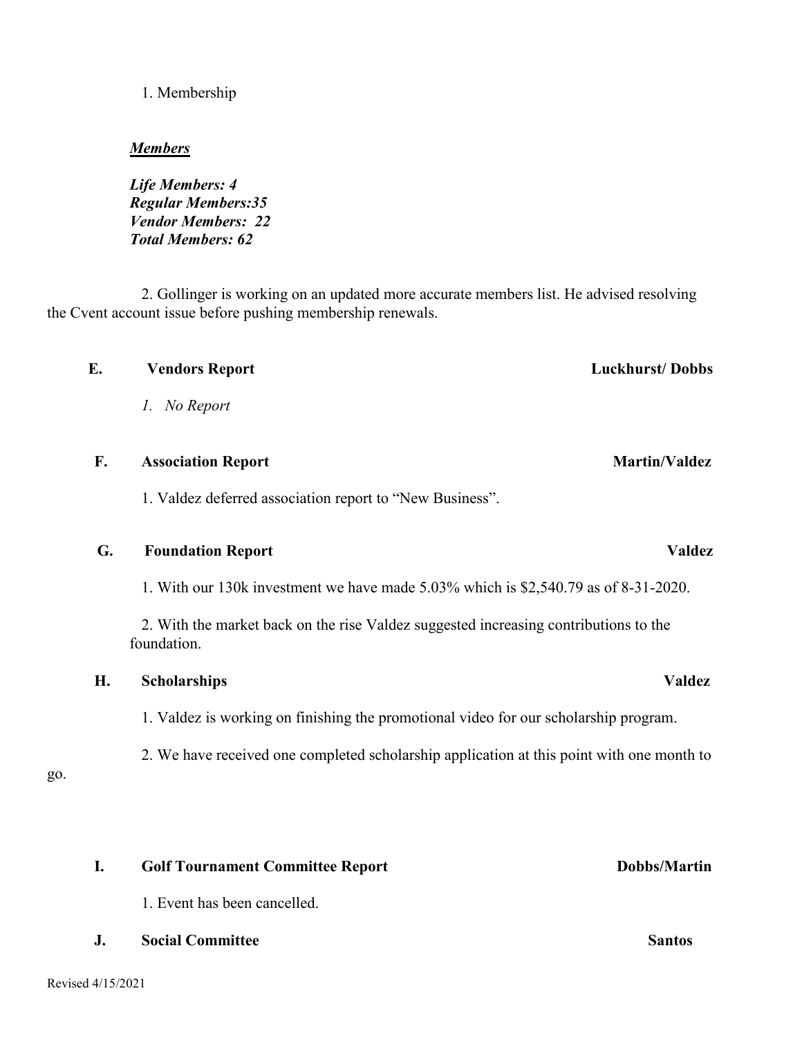### 1. Membership

### *Members*

*Life Members: 4 Regular Members:35 Vendor Members: 22 Total Members: 62*

2. Gollinger is working on an updated more accurate members list. He advised resolving the Cvent account issue before pushing membership renewals.

## *1. No Report*

### **F. Association Report** Martin/Valdez

1. Valdez deferred association report to "New Business".

### **G. Foundation Report Valdez**

1. With our 130k investment we have made 5.03% which is \$2,540.79 as of 8-31-2020.

2. With the market back on the rise Valdez suggested increasing contributions to the foundation.

### **H. Scholarships Valdez**

1. Valdez is working on finishing the promotional video for our scholarship program.

2. We have received one completed scholarship application at this point with one month to

go.

# **I.** Golf Tournament Committee Report Dobbs/Martin

1. Event has been cancelled.

**J. Social Committee Santos**

# **E. Vendors Report Luckhurst/ Dobbs**